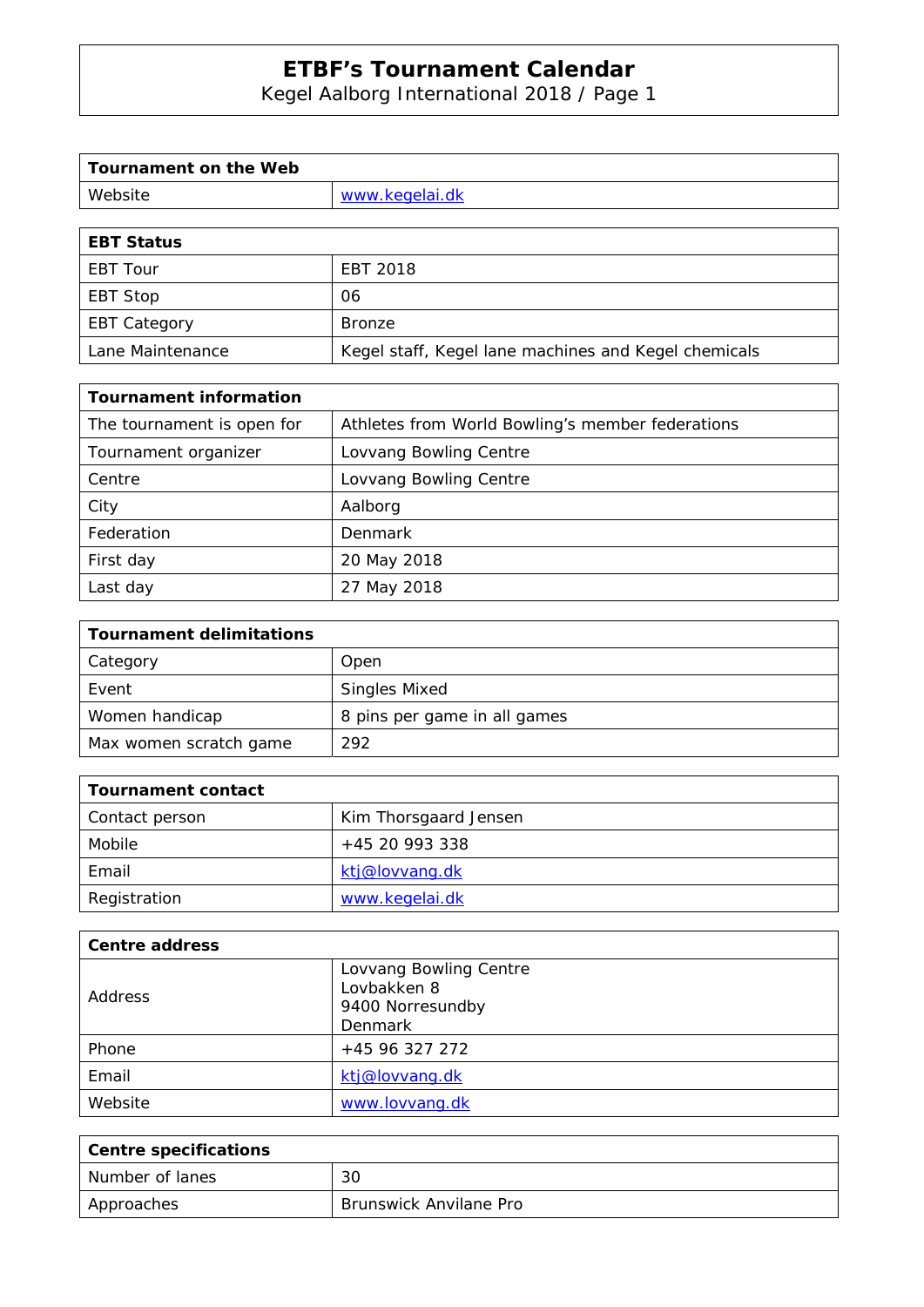Kegel Aalborg International 2018 / Page 1

| Tournament on the Web |                |
|-----------------------|----------------|
| Website               | www.kegelai.dk |
|                       |                |

| <b>EBT Status</b>   |                                                      |
|---------------------|------------------------------------------------------|
| <b>EBT Tour</b>     | EBT 2018                                             |
| EBT Stop            | 06                                                   |
| <b>EBT Category</b> | Bronze                                               |
| Lane Maintenance    | Kegel staff, Kegel lane machines and Kegel chemicals |

| <b>Tournament information</b> |                                                  |
|-------------------------------|--------------------------------------------------|
| The tournament is open for    | Athletes from World Bowling's member federations |
| Tournament organizer          | Lovvang Bowling Centre                           |
| Centre                        | Lovvang Bowling Centre                           |
| City                          | Aalborg                                          |
| Federation                    | Denmark                                          |
| First day                     | 20 May 2018                                      |
| Last day                      | 27 May 2018                                      |

| <b>Tournament delimitations</b> |                              |
|---------------------------------|------------------------------|
| Category                        | Open                         |
| Event                           | <b>Singles Mixed</b>         |
| Women handicap                  | 8 pins per game in all games |
| Max women scratch game          | 292                          |

| Tournament contact |                       |
|--------------------|-----------------------|
| Contact person     | Kim Thorsgaard Jensen |
| Mobile             | +45 20 993 338        |
| Email              | ktj@lovvang.dk        |
| Registration       | www.kegelai.dk        |

| <b>Centre address</b> |                                                                      |
|-----------------------|----------------------------------------------------------------------|
| <b>Address</b>        | Lovvang Bowling Centre<br>Lovbakken 8<br>9400 Norresundby<br>Denmark |
| Phone                 | +45 96 327 272                                                       |
| Email                 | ktj@lovvang.dk                                                       |
| Website               | www.lovvang.dk                                                       |

| <b>Centre specifications</b> |                        |
|------------------------------|------------------------|
| Number of lanes              | 30                     |
| Approaches                   | Brunswick Anvilane Pro |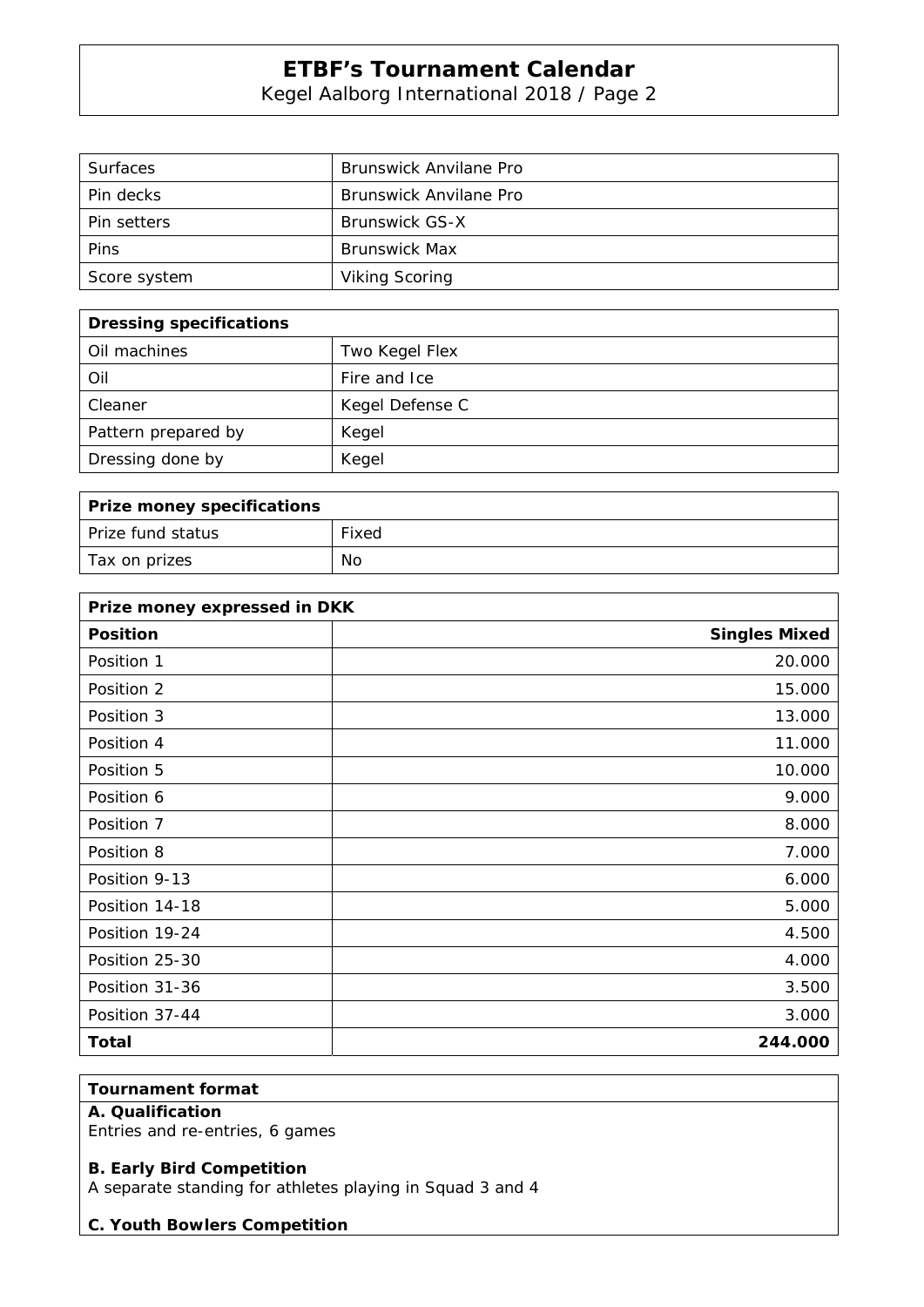Kegel Aalborg International 2018 / Page 2

| <b>Surfaces</b> | Brunswick Anvilane Pro |
|-----------------|------------------------|
| Pin decks       | Brunswick Anvilane Pro |
| Pin setters     | Brunswick GS-X         |
| Pins            | <b>Brunswick Max</b>   |
| Score system    | <b>Viking Scoring</b>  |

| <b>Dressing specifications</b> |                 |
|--------------------------------|-----------------|
| Oil machines                   | Two Kegel Flex  |
| Oil                            | Fire and Ice    |
| Cleaner                        | Kegel Defense C |
| Pattern prepared by            | Kegel           |
| Dressing done by               | Kegel           |

| Prize money specifications |       |
|----------------------------|-------|
| Prize fund status          | Fixed |
| Tax on prizes              | No    |

| Prize money expressed in DKK |                      |
|------------------------------|----------------------|
| <b>Position</b>              | <b>Singles Mixed</b> |
| Position 1                   | 20.000               |
| Position 2                   | 15.000               |
| Position 3                   | 13.000               |
| Position 4                   | 11.000               |
| Position 5                   | 10.000               |
| Position 6                   | 9.000                |
| Position 7                   | 8.000                |
| Position 8                   | 7.000                |
| Position 9-13                | 6.000                |
| Position 14-18               | 5.000                |
| Position 19-24               | 4.500                |
| Position 25-30               | 4.000                |
| Position 31-36               | 3.500                |
| Position 37-44               | 3.000                |
| <b>Total</b>                 | 244.000              |

## **Tournament format**

## **A. Qualification**

Entries and re-entries, 6 games

### **B. Early Bird Competition**

A separate standing for athletes playing in Squad 3 and 4

### **C. Youth Bowlers Competition**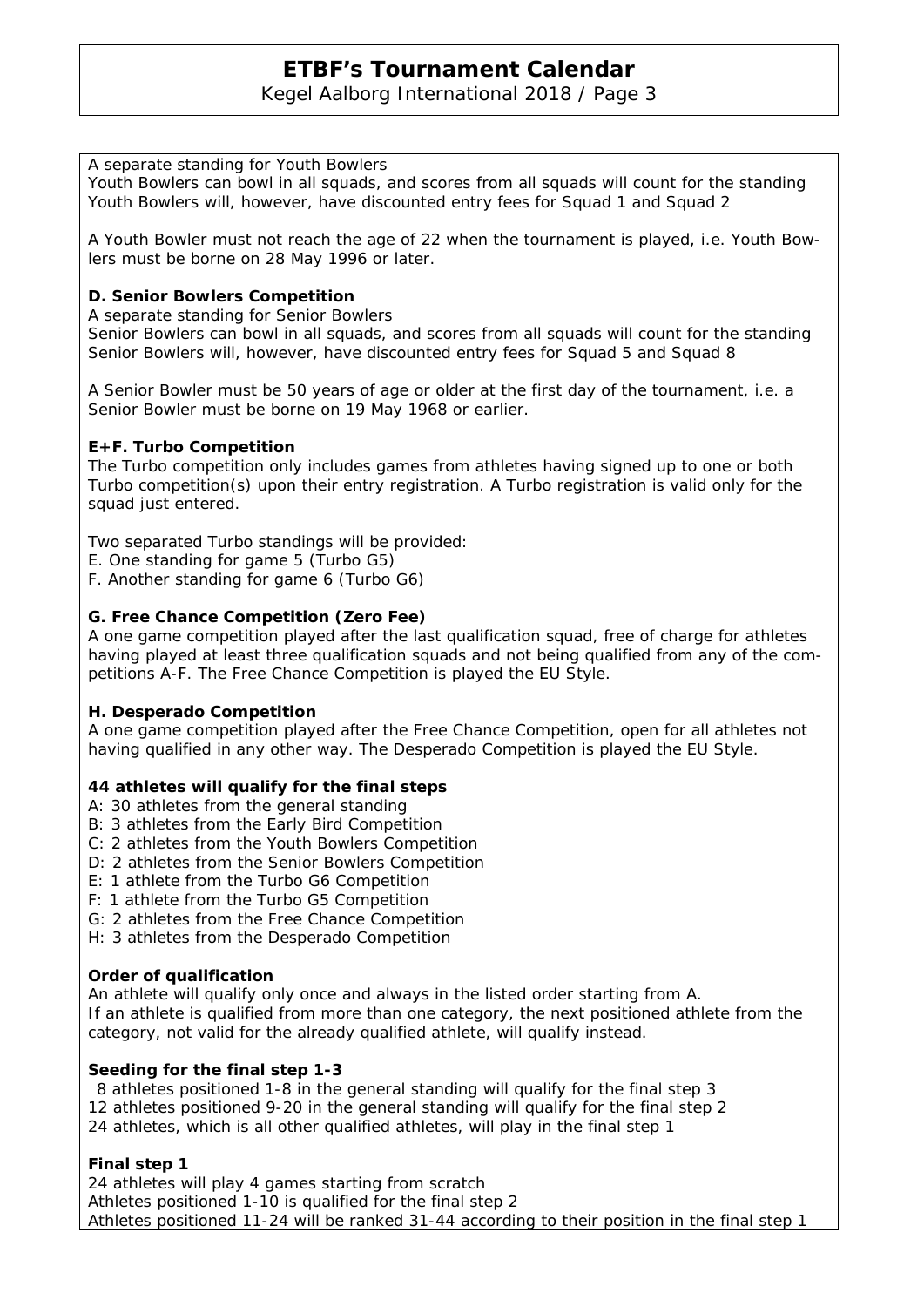## Kegel Aalborg International 2018 / Page 3

### A separate standing for Youth Bowlers

Youth Bowlers can bowl in all squads, and scores from all squads will count for the standing Youth Bowlers will, however, have discounted entry fees for Squad 1 and Squad 2

A Youth Bowler must not reach the age of 22 when the tournament is played, i.e. Youth Bowlers must be borne on 28 May 1996 or later.

### **D. Senior Bowlers Competition**

A separate standing for Senior Bowlers

Senior Bowlers can bowl in all squads, and scores from all squads will count for the standing Senior Bowlers will, however, have discounted entry fees for Squad 5 and Squad 8

A Senior Bowler must be 50 years of age or older at the first day of the tournament, i.e. a Senior Bowler must be borne on 19 May 1968 or earlier.

### **E+F. Turbo Competition**

The Turbo competition only includes games from athletes having signed up to one or both Turbo competition(s) upon their entry registration. A Turbo registration is valid only for the squad just entered.

Two separated Turbo standings will be provided:

- E. One standing for game 5 (Turbo G5)
- F. Another standing for game 6 (Turbo G6)

### **G. Free Chance Competition (Zero Fee)**

A one game competition played after the last qualification squad, free of charge for athletes having played at least three qualification squads and not being qualified from any of the competitions A-F. The Free Chance Competition is played the EU Style.

### **H. Desperado Competition**

A one game competition played after the Free Chance Competition, open for all athletes not having qualified in any other way. The Desperado Competition is played the EU Style.

### **44 athletes will qualify for the final steps**

- A: 30 athletes from the general standing
- B: 3 athletes from the Early Bird Competition
- C: 2 athletes from the Youth Bowlers Competition
- D: 2 athletes from the Senior Bowlers Competition
- E: 1 athlete from the Turbo G6 Competition
- F: 1 athlete from the Turbo G5 Competition
- G: 2 athletes from the Free Chance Competition
- H: 3 athletes from the Desperado Competition

### **Order of qualification**

An athlete will qualify only once and always in the listed order starting from A. If an athlete is qualified from more than one category, the next positioned athlete from the category, not valid for the already qualified athlete, will qualify instead.

### **Seeding for the final step 1-3**

 8 athletes positioned 1-8 in the general standing will qualify for the final step 3 12 athletes positioned 9-20 in the general standing will qualify for the final step 2 24 athletes, which is all other qualified athletes, will play in the final step 1

### **Final step 1**

24 athletes will play 4 games starting from scratch Athletes positioned 1-10 is qualified for the final step 2 Athletes positioned 11-24 will be ranked 31-44 according to their position in the final step 1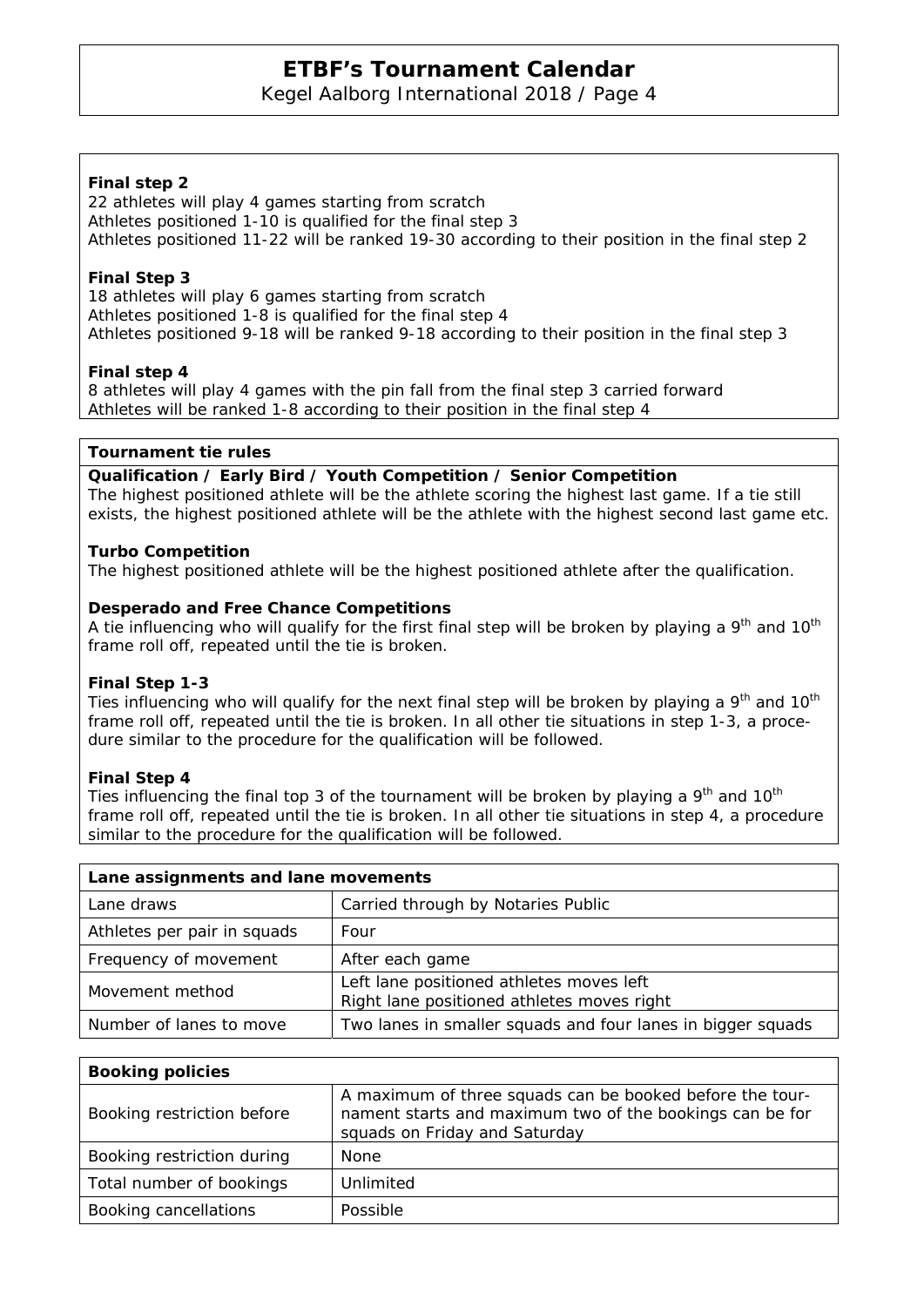Kegel Aalborg International 2018 / Page 4

## **Final step 2**

22 athletes will play 4 games starting from scratch Athletes positioned 1-10 is qualified for the final step 3 Athletes positioned 11-22 will be ranked 19-30 according to their position in the final step 2

### **Final Step 3**

18 athletes will play 6 games starting from scratch Athletes positioned 1-8 is qualified for the final step 4 Athletes positioned 9-18 will be ranked 9-18 according to their position in the final step 3

## **Final step 4**

8 athletes will play 4 games with the pin fall from the final step 3 carried forward Athletes will be ranked 1-8 according to their position in the final step 4

### **Tournament tie rules**

### **Qualification / Early Bird / Youth Competition / Senior Competition**

The highest positioned athlete will be the athlete scoring the highest last game. If a tie still exists, the highest positioned athlete will be the athlete with the highest second last game etc.

### **Turbo Competition**

The highest positioned athlete will be the highest positioned athlete after the qualification.

### **Desperado and Free Chance Competitions**

A tie influencing who will qualify for the first final step will be broken by playing a  $9<sup>th</sup>$  and  $10<sup>th</sup>$ frame roll off, repeated until the tie is broken.

### **Final Step 1-3**

Ties influencing who will qualify for the next final step will be broken by playing a  $9<sup>th</sup>$  and  $10<sup>th</sup>$ frame roll off, repeated until the tie is broken. In all other tie situations in step 1-3, a procedure similar to the procedure for the qualification will be followed.

## **Final Step 4**

Ties influencing the final top 3 of the tournament will be broken by playing a  $9<sup>th</sup>$  and 10<sup>th</sup> frame roll off, repeated until the tie is broken. In all other tie situations in step 4, a procedure similar to the procedure for the qualification will be followed.

| Lane assignments and lane movements |                                                                                        |
|-------------------------------------|----------------------------------------------------------------------------------------|
| Lane draws                          | Carried through by Notaries Public                                                     |
| Athletes per pair in squads         | Four                                                                                   |
| Frequency of movement               | After each game                                                                        |
| Movement method                     | Left lane positioned athletes moves left<br>Right lane positioned athletes moves right |
| Number of lanes to move             | Two lanes in smaller squads and four lanes in bigger squads                            |

| <b>Booking policies</b>    |                                                                                                                                                       |  |  |  |  |
|----------------------------|-------------------------------------------------------------------------------------------------------------------------------------------------------|--|--|--|--|
| Booking restriction before | A maximum of three squads can be booked before the tour-<br>nament starts and maximum two of the bookings can be for<br>squads on Friday and Saturday |  |  |  |  |
| Booking restriction during | <b>None</b>                                                                                                                                           |  |  |  |  |
| Total number of bookings   | Unlimited                                                                                                                                             |  |  |  |  |
| Booking cancellations      | Possible                                                                                                                                              |  |  |  |  |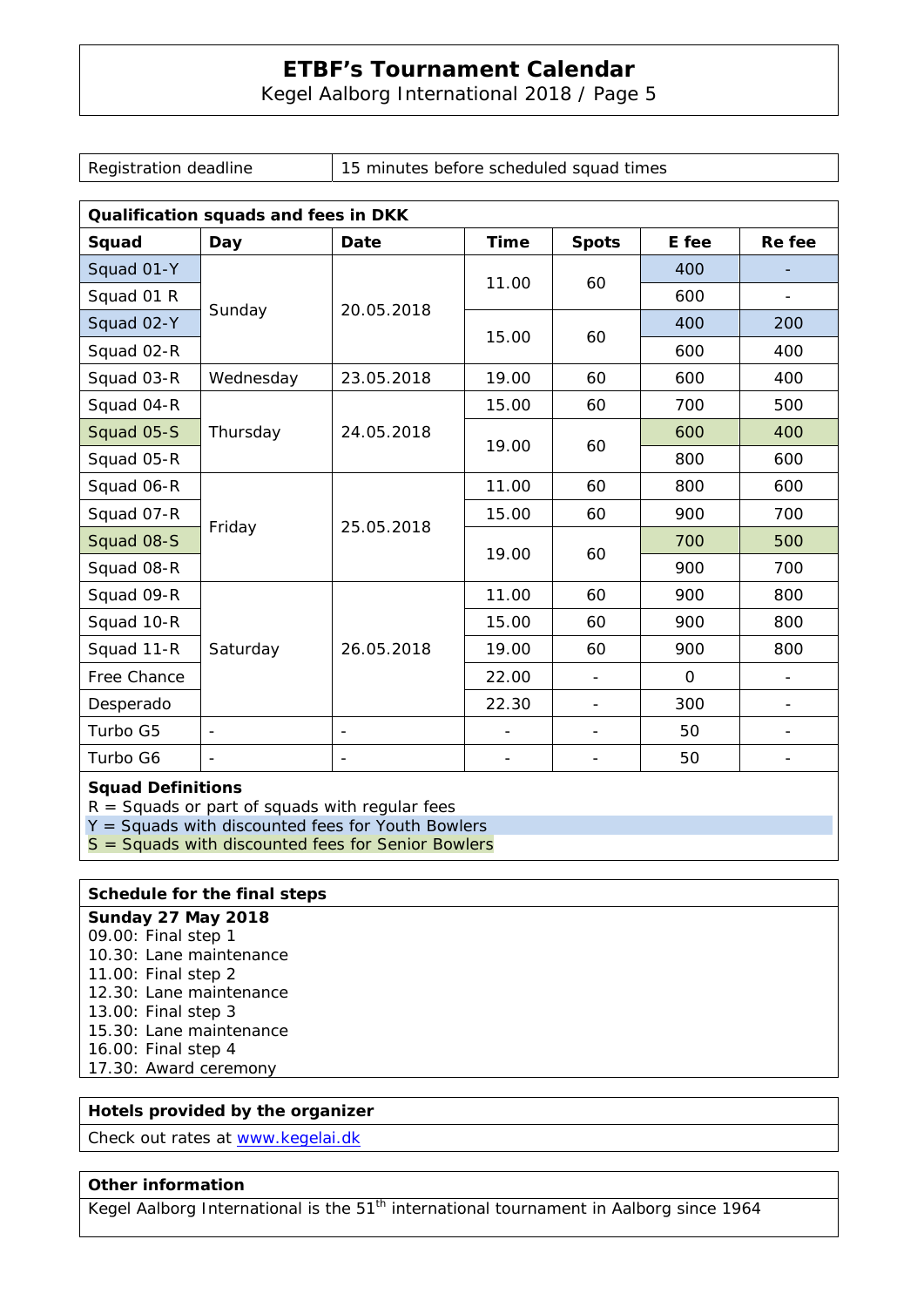Kegel Aalborg International 2018 / Page 5

Registration deadline  $15$  minutes before scheduled squad times

| Qualification squads and fees in DKK |                          |                          |       |                          |              |                          |  |  |
|--------------------------------------|--------------------------|--------------------------|-------|--------------------------|--------------|--------------------------|--|--|
| Squad                                | Day                      | Date                     | Time  | <b>Spots</b>             | E fee        | Re fee                   |  |  |
| Squad 01-Y                           | Sunday                   | 20.05.2018               | 11.00 | 60                       | 400          |                          |  |  |
| Squad 01 R                           |                          |                          |       |                          | 600          | $\overline{\phantom{a}}$ |  |  |
| Squad 02-Y                           |                          |                          | 15.00 | 60                       | 400          | 200                      |  |  |
| Squad 02-R                           |                          |                          |       |                          | 600          | 400                      |  |  |
| Squad 03-R                           | Wednesday                | 23.05.2018               | 19.00 | 60                       | 600          | 400                      |  |  |
| Squad 04-R                           | Thursday                 | 24.05.2018               | 15.00 | 60                       | 700          | 500                      |  |  |
| Squad 05-S                           |                          |                          | 19.00 | 60                       | 600          | 400                      |  |  |
| Squad 05-R                           |                          |                          |       |                          | 800          | 600                      |  |  |
| Squad 06-R                           | Friday                   | 25.05.2018               | 11.00 | 60                       | 800          | 600                      |  |  |
| Squad 07-R                           |                          |                          | 15.00 | 60                       | 900          | 700                      |  |  |
| Squad 08-S                           |                          |                          | 19.00 | 60                       | 700          | 500                      |  |  |
| Squad 08-R                           |                          |                          |       |                          | 900          | 700                      |  |  |
| Squad 09-R                           | Saturday                 | 26.05.2018               | 11.00 | 60                       | 900          | 800                      |  |  |
| Squad 10-R                           |                          |                          | 15.00 | 60                       | 900          | 800                      |  |  |
| Squad 11-R                           |                          |                          | 19.00 | 60                       | 900          | 800                      |  |  |
| Free Chance                          |                          |                          | 22.00 | $\overline{\phantom{a}}$ | $\mathbf{O}$ |                          |  |  |
| Desperado                            |                          |                          | 22.30 | $\overline{\phantom{a}}$ | 300          |                          |  |  |
| Turbo G5                             | $\overline{\phantom{a}}$ | $\overline{\phantom{a}}$ |       | $\overline{\phantom{a}}$ | 50           |                          |  |  |
| Turbo G6                             |                          |                          |       |                          | 50           |                          |  |  |

**Squad Definitions** 

 $R =$  Squads or part of squads with regular fees

 $Y =$  Squads with discounted fees for Youth Bowlers

S = Squads with discounted fees for Senior Bowlers

## **Schedule for the final steps**

**Sunday 27 May 2018**  09.00: Final step 1 10.30: Lane maintenance 11.00: Final step 2 12.30: Lane maintenance 13.00: Final step 3 15.30: Lane maintenance 16.00: Final step 4 17.30: Award ceremony

### **Hotels provided by the organizer**

Check out rates at www.kegelai.dk

### **Other information**

Kegel Aalborg International is the 51<sup>th</sup> international tournament in Aalborg since 1964